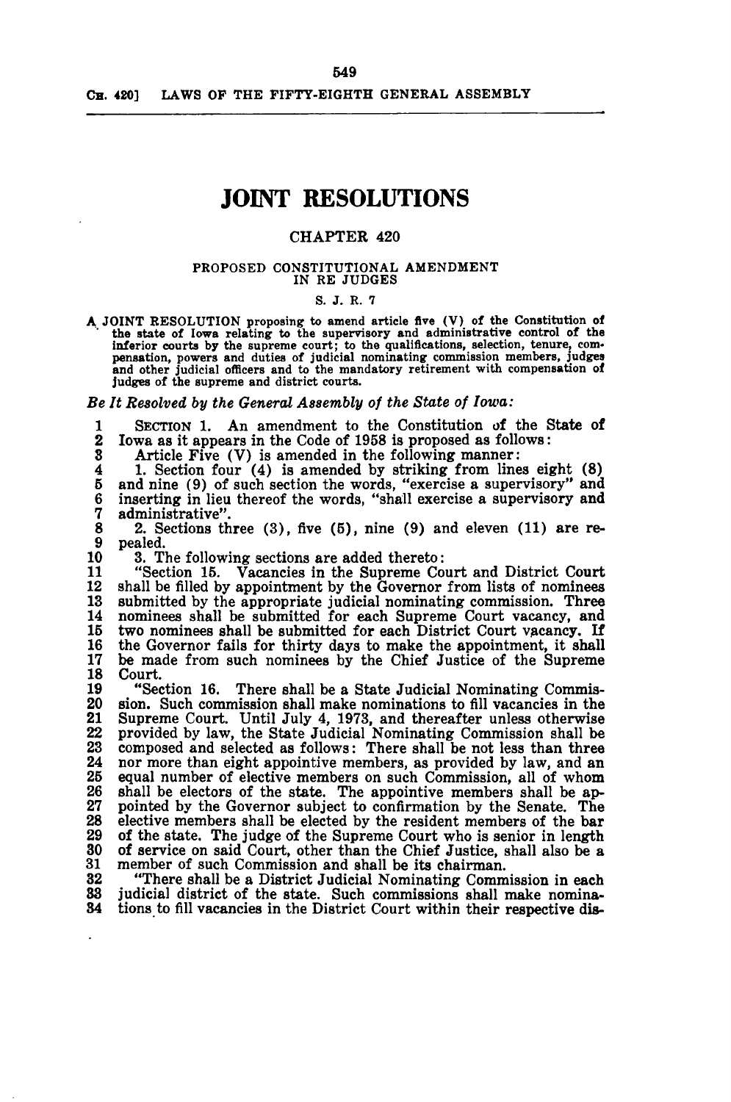# **JOINT RESOLUTIONS**

# CHAPTER 420

#### PROPOSED CONSTITUTIONAL AMENDMENT IN RE JUDGES

### S. J. R. 7

A JOINT RESOLUTION proposing to amend article five (V) of the Constitution of the state of Iowa relating to the supervisory and administrative control of the inferior courts by the supreme court; to the qualifications, selection, tenure, com- pensation, powers and duties of judicial nominating commission members, Judges and other judicial officers and to the mandatory retirement with compensation of judges of the supreme and district courts.

*Be It Resolved by the General Assembly of the State of Iowa:* 

1 SECTION 1. An amendment to the Constitution of the State of 2 Iowa as it appears in the Code of 1958 is proposed as follows:

S Article Five (V) is amended in the following manner:

4 1. Section four (4) is amended by striking from lines eight (8) 5 and nine (9) of such section the words, "exercise a supervisory" and 6 inserting in lieu thereof the words, "shall exercise a supervisory and 7 administrative".

8 2. Sections three (3), five (5), nine (9) and eleven (11) are re-9 pealed.<br>10 3. T

10 3. The following sections are added thereto:<br>11 "Section 15. Vacancies in the Supreme Co

11 "Section 15. Vacancies in the Supreme Court and District Court  $12$  shall be filled by appointment by the Governor from lists of nominees 12 shall be filled by appointment by the Governor from lists of nominees 13 submitted by the appropriate judicial nominating commission. Three 13 submitted by the appropriate judicial nominating commission. Three 14 nominees shall be submitted for each Supreme Court vacancy, and two nominees shall be submitted for each District Court vacancy. If 15 two nominees shall be submitted for each District Court vacancy. If<br>16 the Governor fails for thirty days to make the appointment, it shall<br>17 be made from such nominees by the Chief Justice of the Supreme 17 be made from such nominees by the Chief Justice of the Supreme 18 Court.

19 "Section 16. There shall be a State Judicial Nominating Commis-<br>20 sion. Such commission shall make nominations to fill vacancies in the 20 sion. Such commission shall make nominations to fill vacancies in the 21 Supreme Court. Until July 4, 1973, and thereafter unless otherwise 21 Supreme Court. Until July 4, 1973, and thereafter unless otherwise 22 provided by law, the State Judicial Nominating Commission shall be 23 composed and selected as follows: There shall be not less than three 24 nor more than eight appointive members, as provided by law, and an 24 nor more than eight appointive members, as provided by law, and an 25 equal number of elective members on such Commission, all of whom 25 equal number of elective members on such Commission, all of whom 26 shall be electors of the state. The appointive members shall be ap-26 shall be electors of the state. The appointive members shall be ap-<br>27 pointed by the Governor subject to confirmation by the Senate. The<br>28 elective members shall be elected by the resident members of the bar 28 elective members shall be elected by the resident members of the bar<br>29 of the state. The judge of the Supreme Court who is senior in length 29 of the state. The judge of the Supreme Court who is senior in length 30 of service on said Court, other than the Chief Justice, shall also be a 31 member of such Commission and shall be its chairman. 31 member of such Commission and shall be its chairman.<br>32 "There shall be a District Judicial Nominating Comm

32 There shall be a District Judicial Nominating Commission in each<br>33 judicial district of the state. Such commissions shall make nomina-33 judicial district of the state. Such commissions shall make nomina-<br>34 tions to fill vacancies in the District Court within their respective distions to fill vacancies in the District Court within their respective dis-

549